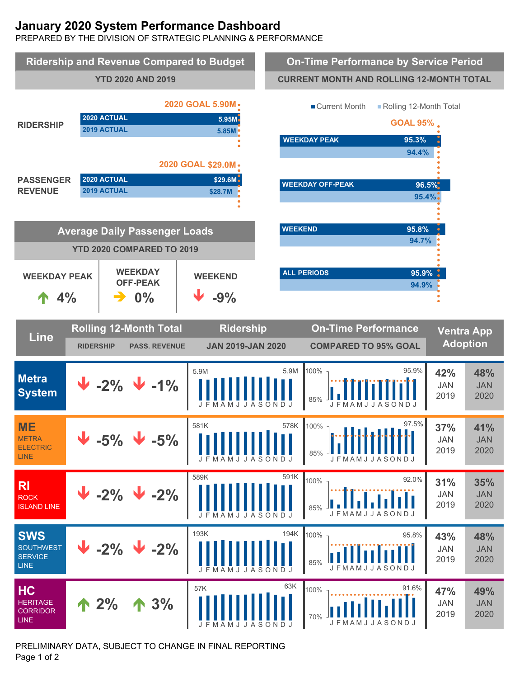# **January 2020 System Performance Dashboard**

PREPARED BY THE DIVISION OF STRATEGIC PLANNING & PERFORMANCE



PRELIMINARY DATA, SUBJECT TO CHANGE IN FINAL REPORTING Page 1 of 2